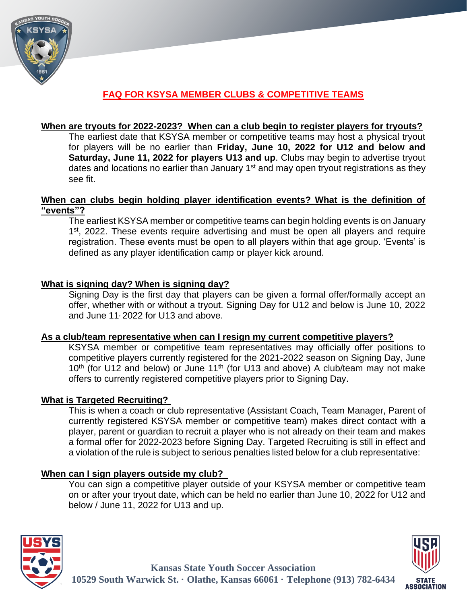

# **FAQ FOR KSYSA MEMBER CLUBS & COMPETITIVE TEAMS**

### **When are tryouts for 2022-2023? When can a club begin to register players for tryouts?**

The earliest date that KSYSA member or competitive teams may host a physical tryout for players will be no earlier than **Friday, June 10, 2022 for U12 and below and Saturday, June 11, 2022 for players U13 and up**. Clubs may begin to advertise tryout dates and locations no earlier than January  $1<sup>st</sup>$  and may open tryout registrations as they see fit.

### **When can clubs begin holding player identification events? What is the definition of "events"?**

The earliest KSYSA member or competitive teams can begin holding events is on January 1<sup>st</sup>, 2022. These events require advertising and must be open all players and require registration. These events must be open to all players within that age group. 'Events' is defined as any player identification camp or player kick around.

#### **What is signing day? When is signing day?**

Signing Day is the first day that players can be given a formal offer/formally accept an offer, whether with or without a tryout. Signing Day for U12 and below is June 10, 2022 and June 11, 2022 for U13 and above.

#### **As a club/team representative when can I resign my current competitive players?**

KSYSA member or competitive team representatives may officially offer positions to competitive players currently registered for the 2021-2022 season on Signing Day, June  $10<sup>th</sup>$  (for U12 and below) or June 11<sup>th</sup> (for U13 and above) A club/team may not make offers to currently registered competitive players prior to Signing Day.

## **What is Targeted Recruiting?**

This is when a coach or club representative (Assistant Coach, Team Manager, Parent of currently registered KSYSA member or competitive team) makes direct contact with a player, parent or guardian to recruit a player who is not already on their team and makes a formal offer for 2022-2023 before Signing Day. Targeted Recruiting is still in effect and a violation of the rule is subject to serious penalties listed below for a club representative:

## **When can I sign players outside my club?**

You can sign a competitive player outside of your KSYSA member or competitive team on or after your tryout date, which can be held no earlier than June 10, 2022 for U12 and below / June 11, 2022 for U13 and up.